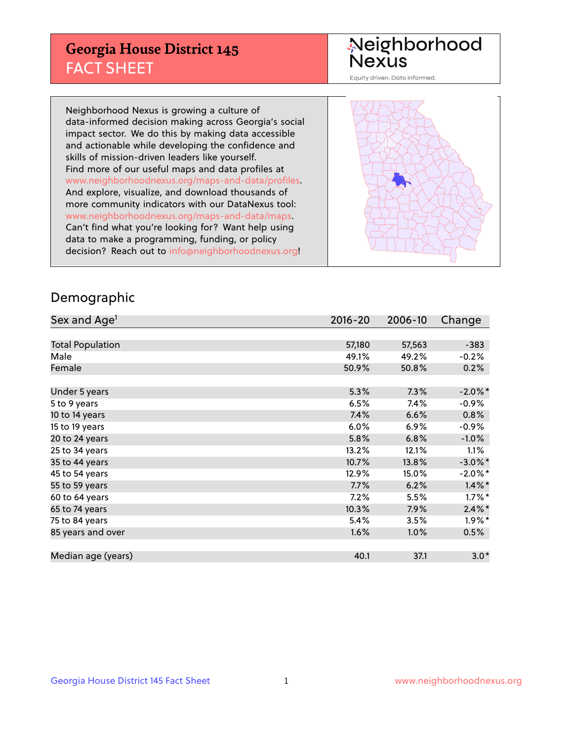## **Georgia House District 145** FACT SHEET

# Neighborhood<br>Nexus

Equity driven. Data informed.

Neighborhood Nexus is growing a culture of data-informed decision making across Georgia's social impact sector. We do this by making data accessible and actionable while developing the confidence and skills of mission-driven leaders like yourself. Find more of our useful maps and data profiles at www.neighborhoodnexus.org/maps-and-data/profiles. And explore, visualize, and download thousands of more community indicators with our DataNexus tool: www.neighborhoodnexus.org/maps-and-data/maps. Can't find what you're looking for? Want help using data to make a programming, funding, or policy decision? Reach out to [info@neighborhoodnexus.org!](mailto:info@neighborhoodnexus.org)



### Demographic

| Sex and Age <sup>1</sup> | $2016 - 20$ | 2006-10 | Change     |
|--------------------------|-------------|---------|------------|
|                          |             |         |            |
| <b>Total Population</b>  | 57,180      | 57,563  | $-383$     |
| Male                     | 49.1%       | 49.2%   | $-0.2%$    |
| Female                   | 50.9%       | 50.8%   | 0.2%       |
|                          |             |         |            |
| Under 5 years            | 5.3%        | 7.3%    | $-2.0\%$ * |
| 5 to 9 years             | 6.5%        | 7.4%    | $-0.9%$    |
| 10 to 14 years           | 7.4%        | 6.6%    | 0.8%       |
| 15 to 19 years           | 6.0%        | 6.9%    | $-0.9%$    |
| 20 to 24 years           | 5.8%        | 6.8%    | $-1.0%$    |
| 25 to 34 years           | 13.2%       | 12.1%   | $1.1\%$    |
| 35 to 44 years           | 10.7%       | 13.8%   | $-3.0\%$ * |
| 45 to 54 years           | 12.9%       | 15.0%   | $-2.0\%$ * |
| 55 to 59 years           | 7.7%        | 6.2%    | $1.4\%$ *  |
| 60 to 64 years           | $7.2\%$     | 5.5%    | $1.7\%$ *  |
| 65 to 74 years           | 10.3%       | 7.9%    | $2.4\%$ *  |
| 75 to 84 years           | 5.4%        | 3.5%    | $1.9\%$ *  |
| 85 years and over        | 1.6%        | 1.0%    | 0.5%       |
|                          |             |         |            |
| Median age (years)       | 40.1        | 37.1    | $3.0*$     |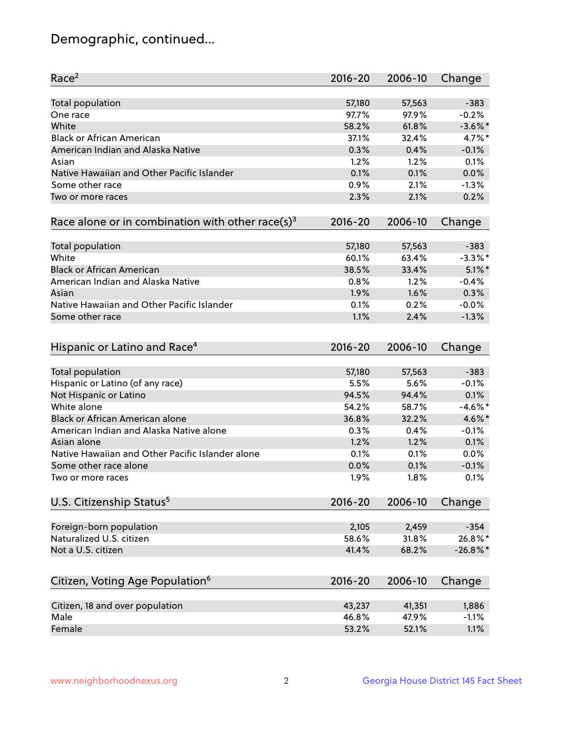## Demographic, continued...

| Race <sup>2</sup>                                            | 2016-20     | 2006-10 | Change     |
|--------------------------------------------------------------|-------------|---------|------------|
| <b>Total population</b>                                      | 57,180      | 57,563  | $-383$     |
| One race                                                     | 97.7%       | 97.9%   | $-0.2%$    |
| White                                                        | 58.2%       | 61.8%   | $-3.6\%$ * |
| <b>Black or African American</b>                             | 37.1%       | 32.4%   | 4.7%*      |
| American Indian and Alaska Native                            | 0.3%        | 0.4%    | $-0.1%$    |
| Asian                                                        | 1.2%        | 1.2%    | 0.1%       |
| Native Hawaiian and Other Pacific Islander                   | 0.1%        | 0.1%    | 0.0%       |
| Some other race                                              | 0.9%        | 2.1%    | $-1.3%$    |
| Two or more races                                            | 2.3%        | 2.1%    | 0.2%       |
| Race alone or in combination with other race(s) <sup>3</sup> | $2016 - 20$ | 2006-10 | Change     |
|                                                              |             |         |            |
| <b>Total population</b>                                      | 57,180      | 57,563  | $-383$     |
| White                                                        | 60.1%       | 63.4%   | $-3.3\%$ * |
| <b>Black or African American</b>                             | 38.5%       | 33.4%   | $5.1\%$ *  |
| American Indian and Alaska Native                            | 0.8%        | 1.2%    | $-0.4%$    |
| Asian                                                        | 1.9%        | 1.6%    | 0.3%       |
| Native Hawaiian and Other Pacific Islander                   | 0.1%        | 0.2%    | $-0.0%$    |
| Some other race                                              | 1.1%        | 2.4%    | $-1.3%$    |
| Hispanic or Latino and Race <sup>4</sup>                     | $2016 - 20$ | 2006-10 | Change     |
|                                                              |             |         |            |
| <b>Total population</b>                                      | 57,180      | 57,563  | $-383$     |
| Hispanic or Latino (of any race)                             | 5.5%        | 5.6%    | $-0.1%$    |
| Not Hispanic or Latino                                       | 94.5%       | 94.4%   | 0.1%       |
| White alone                                                  | 54.2%       | 58.7%   | $-4.6%$ *  |
| <b>Black or African American alone</b>                       | 36.8%       | 32.2%   | 4.6%*      |
| American Indian and Alaska Native alone                      | 0.3%        | 0.4%    | $-0.1%$    |
| Asian alone                                                  | 1.2%        | 1.2%    | 0.1%       |
| Native Hawaiian and Other Pacific Islander alone             | 0.1%        | 0.1%    | 0.0%       |
| Some other race alone                                        | 0.0%        | 0.1%    | $-0.1%$    |
| Two or more races                                            | 1.9%        | 1.8%    | 0.1%       |
| U.S. Citizenship Status <sup>5</sup>                         | 2016-20     | 2006-10 | Change     |
|                                                              |             |         |            |
| Foreign-born population                                      | 2,105       | 2,459   | $-354$     |
| Naturalized U.S. citizen                                     | 58.6%       | 31.8%   | 26.8%*     |
| Not a U.S. citizen                                           | 41.4%       | 68.2%   | $-26.8%$   |
|                                                              |             |         |            |
| Citizen, Voting Age Population <sup>6</sup>                  | 2016-20     | 2006-10 | Change     |
| Citizen, 18 and over population                              | 43,237      | 41,351  | 1,886      |
| Male                                                         | 46.8%       | 47.9%   | $-1.1%$    |
| Female                                                       | 53.2%       | 52.1%   | 1.1%       |
|                                                              |             |         |            |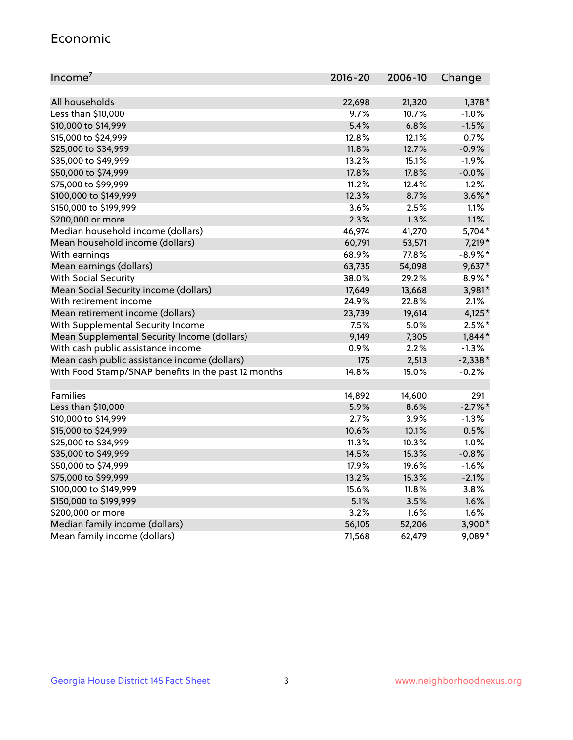#### Economic

| Income <sup>7</sup>                                 | 2016-20 | 2006-10 | Change     |
|-----------------------------------------------------|---------|---------|------------|
|                                                     |         |         |            |
| All households                                      | 22,698  | 21,320  | 1,378 *    |
| Less than \$10,000                                  | 9.7%    | 10.7%   | $-1.0%$    |
| \$10,000 to \$14,999                                | 5.4%    | 6.8%    | $-1.5%$    |
| \$15,000 to \$24,999                                | 12.8%   | 12.1%   | 0.7%       |
| \$25,000 to \$34,999                                | 11.8%   | 12.7%   | $-0.9%$    |
| \$35,000 to \$49,999                                | 13.2%   | 15.1%   | $-1.9%$    |
| \$50,000 to \$74,999                                | 17.8%   | 17.8%   | $-0.0%$    |
| \$75,000 to \$99,999                                | 11.2%   | 12.4%   | $-1.2%$    |
| \$100,000 to \$149,999                              | 12.3%   | 8.7%    | $3.6\%$ *  |
| \$150,000 to \$199,999                              | 3.6%    | 2.5%    | 1.1%       |
| \$200,000 or more                                   | 2.3%    | 1.3%    | 1.1%       |
| Median household income (dollars)                   | 46,974  | 41,270  | 5,704*     |
| Mean household income (dollars)                     | 60,791  | 53,571  | 7,219 *    |
| With earnings                                       | 68.9%   | 77.8%   | $-8.9\%$ * |
| Mean earnings (dollars)                             | 63,735  | 54,098  | $9,637*$   |
| <b>With Social Security</b>                         | 38.0%   | 29.2%   | $8.9\%$ *  |
| Mean Social Security income (dollars)               | 17,649  | 13,668  | 3,981*     |
| With retirement income                              | 24.9%   | 22.8%   | 2.1%       |
| Mean retirement income (dollars)                    | 23,739  | 19,614  | 4,125*     |
| With Supplemental Security Income                   | 7.5%    | 5.0%    | $2.5%$ *   |
| Mean Supplemental Security Income (dollars)         | 9,149   | 7,305   | $1,844*$   |
| With cash public assistance income                  | 0.9%    | 2.2%    | $-1.3%$    |
| Mean cash public assistance income (dollars)        | 175     | 2,513   | $-2,338*$  |
| With Food Stamp/SNAP benefits in the past 12 months | 14.8%   | 15.0%   | $-0.2%$    |
|                                                     |         |         |            |
| Families                                            | 14,892  | 14,600  | 291        |
| Less than \$10,000                                  | 5.9%    | 8.6%    | $-2.7%$ *  |
| \$10,000 to \$14,999                                | 2.7%    | 3.9%    | $-1.3%$    |
| \$15,000 to \$24,999                                | 10.6%   | 10.1%   | 0.5%       |
| \$25,000 to \$34,999                                | 11.3%   | 10.3%   | 1.0%       |
| \$35,000 to \$49,999                                | 14.5%   | 15.3%   | $-0.8%$    |
| \$50,000 to \$74,999                                | 17.9%   | 19.6%   | $-1.6%$    |
| \$75,000 to \$99,999                                | 13.2%   | 15.3%   | $-2.1%$    |
| \$100,000 to \$149,999                              | 15.6%   | 11.8%   | 3.8%       |
| \$150,000 to \$199,999                              | 5.1%    | 3.5%    | 1.6%       |
| \$200,000 or more                                   | 3.2%    | 1.6%    | 1.6%       |
| Median family income (dollars)                      | 56,105  | 52,206  | 3,900*     |
| Mean family income (dollars)                        | 71,568  | 62,479  | 9,089*     |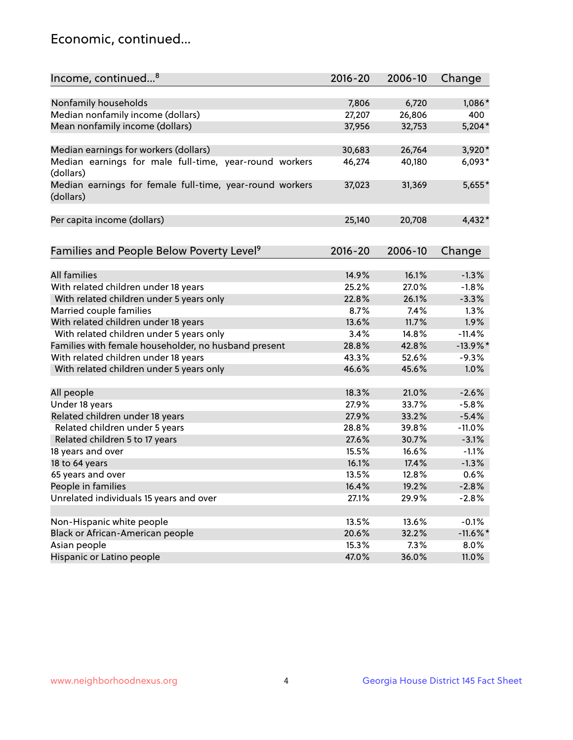## Economic, continued...

| Income, continued <sup>8</sup>                                        | $2016 - 20$ | 2006-10 | Change      |
|-----------------------------------------------------------------------|-------------|---------|-------------|
|                                                                       |             |         |             |
| Nonfamily households                                                  | 7,806       | 6,720   | 1,086*      |
| Median nonfamily income (dollars)                                     | 27,207      | 26,806  | 400         |
| Mean nonfamily income (dollars)                                       | 37,956      | 32,753  | $5,204*$    |
| Median earnings for workers (dollars)                                 | 30,683      | 26,764  | 3,920*      |
| Median earnings for male full-time, year-round workers<br>(dollars)   | 46,274      | 40,180  | $6,093*$    |
| Median earnings for female full-time, year-round workers<br>(dollars) | 37,023      | 31,369  | 5,655*      |
| Per capita income (dollars)                                           | 25,140      | 20,708  | 4,432*      |
|                                                                       | $2016 - 20$ | 2006-10 |             |
| Families and People Below Poverty Level <sup>9</sup>                  |             |         | Change      |
| <b>All families</b>                                                   | 14.9%       | 16.1%   | $-1.3%$     |
| With related children under 18 years                                  | 25.2%       | 27.0%   | $-1.8%$     |
| With related children under 5 years only                              | 22.8%       | 26.1%   | $-3.3%$     |
| Married couple families                                               | 8.7%        | 7.4%    | 1.3%        |
| With related children under 18 years                                  | 13.6%       | 11.7%   | 1.9%        |
| With related children under 5 years only                              | 3.4%        | 14.8%   | $-11.4%$    |
| Families with female householder, no husband present                  | 28.8%       | 42.8%   | $-13.9\%$ * |
| With related children under 18 years                                  | 43.3%       | 52.6%   | $-9.3%$     |
| With related children under 5 years only                              | 46.6%       | 45.6%   | 1.0%        |
| All people                                                            | 18.3%       | 21.0%   | $-2.6%$     |
| Under 18 years                                                        | 27.9%       | 33.7%   | $-5.8%$     |
| Related children under 18 years                                       | 27.9%       | 33.2%   | $-5.4%$     |
| Related children under 5 years                                        | 28.8%       | 39.8%   | $-11.0%$    |
| Related children 5 to 17 years                                        | 27.6%       | 30.7%   | $-3.1%$     |
| 18 years and over                                                     | 15.5%       | 16.6%   | $-1.1%$     |
| 18 to 64 years                                                        | 16.1%       | 17.4%   | $-1.3%$     |
| 65 years and over                                                     | 13.5%       | 12.8%   | 0.6%        |
| People in families                                                    | 16.4%       | 19.2%   | $-2.8%$     |
| Unrelated individuals 15 years and over                               | 27.1%       | 29.9%   | $-2.8%$     |
|                                                                       |             |         |             |
| Non-Hispanic white people                                             | 13.5%       | 13.6%   | $-0.1%$     |
| Black or African-American people                                      | 20.6%       | 32.2%   | $-11.6\%$ * |
| Asian people                                                          | 15.3%       | 7.3%    | 8.0%        |
| Hispanic or Latino people                                             | 47.0%       | 36.0%   | 11.0%       |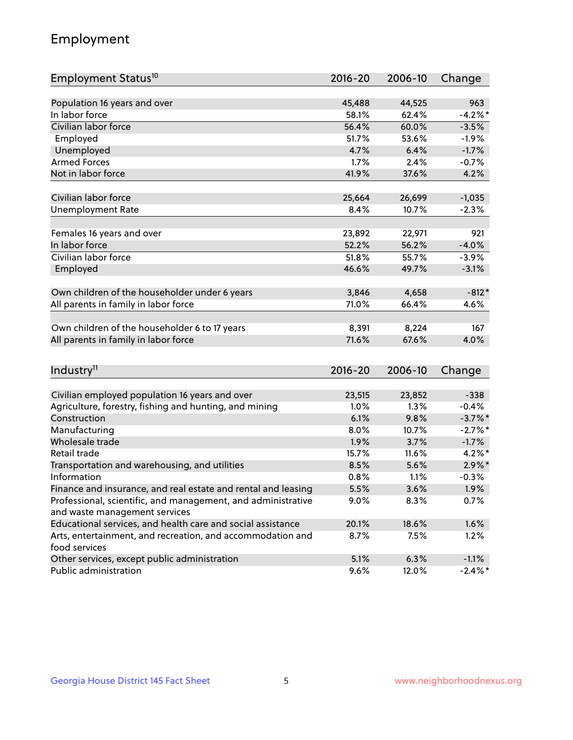## Employment

| Employment Status <sup>10</sup>                                             | $2016 - 20$ | 2006-10 | Change     |
|-----------------------------------------------------------------------------|-------------|---------|------------|
|                                                                             |             |         |            |
| Population 16 years and over                                                | 45,488      | 44,525  | 963        |
| In labor force                                                              | 58.1%       | 62.4%   | $-4.2%$ *  |
| Civilian labor force                                                        | 56.4%       | 60.0%   | $-3.5%$    |
| Employed                                                                    | 51.7%       | 53.6%   | $-1.9%$    |
| Unemployed                                                                  | 4.7%        | 6.4%    | $-1.7%$    |
| <b>Armed Forces</b>                                                         | 1.7%        | 2.4%    | $-0.7%$    |
| Not in labor force                                                          | 41.9%       | 37.6%   | 4.2%       |
|                                                                             |             |         |            |
| Civilian labor force                                                        | 25,664      | 26,699  | $-1,035$   |
| <b>Unemployment Rate</b>                                                    | 8.4%        | 10.7%   | $-2.3%$    |
|                                                                             |             |         |            |
| Females 16 years and over                                                   | 23,892      | 22,971  | 921        |
| In labor force                                                              | 52.2%       | 56.2%   | $-4.0%$    |
| Civilian labor force                                                        | 51.8%       | 55.7%   | $-3.9%$    |
| Employed                                                                    | 46.6%       | 49.7%   | $-3.1%$    |
| Own children of the householder under 6 years                               | 3,846       | 4,658   | $-812*$    |
| All parents in family in labor force                                        | 71.0%       | 66.4%   | 4.6%       |
|                                                                             |             |         |            |
| Own children of the householder 6 to 17 years                               | 8,391       | 8,224   | 167        |
| All parents in family in labor force                                        | 71.6%       | 67.6%   | 4.0%       |
|                                                                             |             |         |            |
| Industry <sup>11</sup>                                                      | $2016 - 20$ | 2006-10 | Change     |
|                                                                             |             |         |            |
| Civilian employed population 16 years and over                              | 23,515      | 23,852  | $-338$     |
| Agriculture, forestry, fishing and hunting, and mining                      | 1.0%        | 1.3%    | $-0.4%$    |
| Construction                                                                | 6.1%        | 9.8%    | $-3.7\%$ * |
| Manufacturing                                                               | 8.0%        | 10.7%   | $-2.7%$ *  |
| Wholesale trade                                                             | 1.9%        | 3.7%    | $-1.7%$    |
| Retail trade                                                                | 15.7%       | 11.6%   | $4.2\%$ *  |
| Transportation and warehousing, and utilities                               | 8.5%        | 5.6%    | $2.9\%$ *  |
| Information                                                                 | 0.8%        | 1.1%    | $-0.3%$    |
| Finance and insurance, and real estate and rental and leasing               | 5.5%        | 3.6%    | 1.9%       |
| Professional, scientific, and management, and administrative                | $9.0\%$     | 8.3%    | 0.7%       |
| and waste management services                                               |             |         |            |
| Educational services, and health care and social assistance                 | 20.1%       | 18.6%   | 1.6%       |
| Arts, entertainment, and recreation, and accommodation and<br>food services | 8.7%        | 7.5%    | 1.2%       |
| Other services, except public administration                                | 5.1%        | 6.3%    | $-1.1%$    |
| Public administration                                                       | 9.6%        | 12.0%   | $-2.4\%$ * |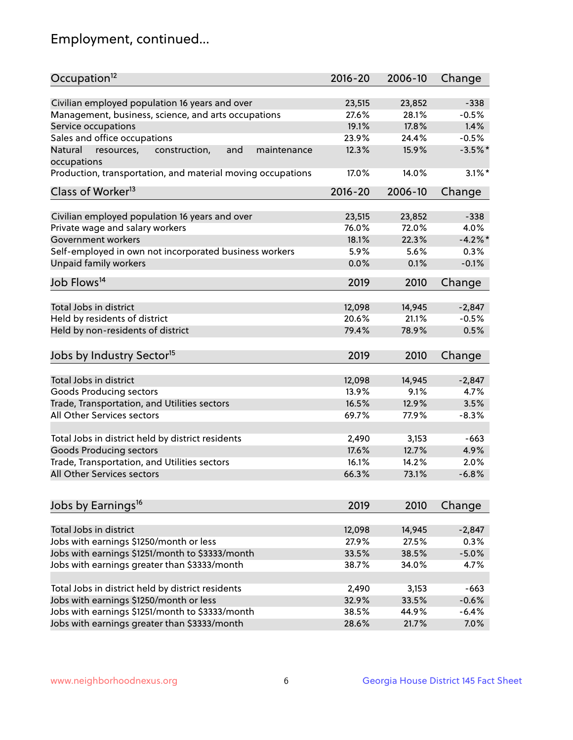## Employment, continued...

| Occupation <sup>12</sup>                                                    | $2016 - 20$    | 2006-10        | Change          |
|-----------------------------------------------------------------------------|----------------|----------------|-----------------|
| Civilian employed population 16 years and over                              |                |                |                 |
|                                                                             | 23,515         | 23,852         | $-338$          |
| Management, business, science, and arts occupations<br>Service occupations  | 27.6%<br>19.1% | 28.1%<br>17.8% | $-0.5%$<br>1.4% |
|                                                                             |                |                |                 |
| Sales and office occupations                                                | 23.9%          | 24.4%          | $-0.5%$         |
| Natural<br>and<br>resources,<br>construction,<br>maintenance<br>occupations | 12.3%          | 15.9%          | $-3.5%$ *       |
| Production, transportation, and material moving occupations                 | 17.0%          | 14.0%          | $3.1\%$ *       |
| Class of Worker <sup>13</sup>                                               | $2016 - 20$    | 2006-10        | Change          |
|                                                                             |                |                |                 |
| Civilian employed population 16 years and over                              | 23,515         | 23,852         | $-338$          |
| Private wage and salary workers                                             | 76.0%          | 72.0%          | 4.0%            |
| Government workers                                                          | 18.1%          | 22.3%          | $-4.2%$         |
| Self-employed in own not incorporated business workers                      | 5.9%           | 5.6%           | 0.3%            |
| Unpaid family workers                                                       | 0.0%           | 0.1%           | $-0.1%$         |
| Job Flows <sup>14</sup>                                                     | 2019           | 2010           | Change          |
|                                                                             |                |                |                 |
| Total Jobs in district                                                      | 12,098         | 14,945         | $-2,847$        |
| Held by residents of district                                               | 20.6%          | 21.1%          | $-0.5%$         |
| Held by non-residents of district                                           | 79.4%          | 78.9%          | 0.5%            |
| Jobs by Industry Sector <sup>15</sup>                                       | 2019           | 2010           | Change          |
|                                                                             |                |                |                 |
| Total Jobs in district                                                      | 12,098         | 14,945         | $-2,847$        |
| Goods Producing sectors                                                     | 13.9%          | 9.1%           | 4.7%            |
| Trade, Transportation, and Utilities sectors                                | 16.5%          | 12.9%          | 3.5%            |
| All Other Services sectors                                                  | 69.7%          | 77.9%          | $-8.3%$         |
|                                                                             |                |                |                 |
| Total Jobs in district held by district residents                           | 2,490          | 3,153          | $-663$          |
| <b>Goods Producing sectors</b>                                              | 17.6%          | 12.7%          | 4.9%            |
| Trade, Transportation, and Utilities sectors                                | 16.1%          | 14.2%          | 2.0%            |
| All Other Services sectors                                                  | 66.3%          | 73.1%          | $-6.8%$         |
|                                                                             |                |                |                 |
| Jobs by Earnings <sup>16</sup>                                              | 2019           | 2010           | Change          |
|                                                                             |                |                |                 |
| Total Jobs in district                                                      | 12,098         | 14,945         | $-2,847$        |
| Jobs with earnings \$1250/month or less                                     | 27.9%          | 27.5%          | 0.3%            |
| Jobs with earnings \$1251/month to \$3333/month                             | 33.5%          | 38.5%          | $-5.0%$         |
| Jobs with earnings greater than \$3333/month                                | 38.7%          | 34.0%          | 4.7%            |
| Total Jobs in district held by district residents                           | 2,490          | 3,153          | $-663$          |
| Jobs with earnings \$1250/month or less                                     | 32.9%          | 33.5%          | $-0.6%$         |
| Jobs with earnings \$1251/month to \$3333/month                             | 38.5%          | 44.9%          | $-6.4%$         |
| Jobs with earnings greater than \$3333/month                                | 28.6%          | 21.7%          | 7.0%            |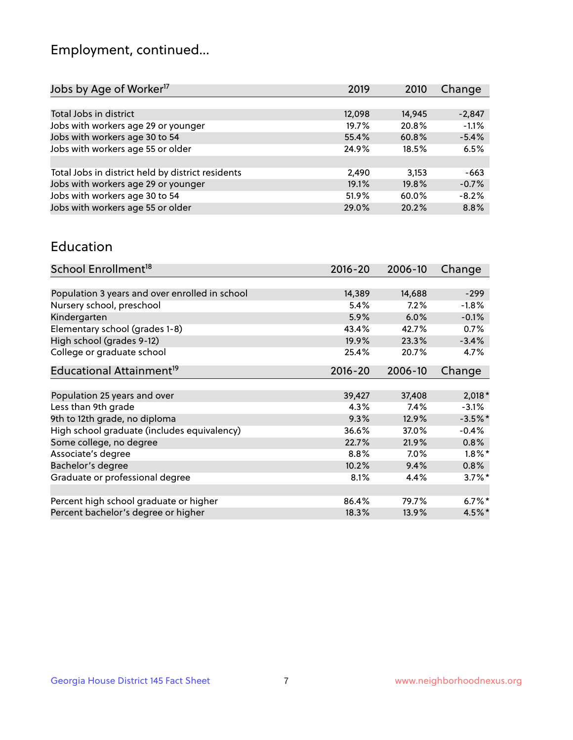## Employment, continued...

| Jobs by Age of Worker <sup>17</sup>               | 2019   | 2010   | Change   |
|---------------------------------------------------|--------|--------|----------|
|                                                   |        |        |          |
| Total Jobs in district                            | 12,098 | 14,945 | $-2,847$ |
| Jobs with workers age 29 or younger               | 19.7%  | 20.8%  | $-1.1%$  |
| Jobs with workers age 30 to 54                    | 55.4%  | 60.8%  | $-5.4%$  |
| Jobs with workers age 55 or older                 | 24.9%  | 18.5%  | 6.5%     |
|                                                   |        |        |          |
| Total Jobs in district held by district residents | 2,490  | 3,153  | $-663$   |
| Jobs with workers age 29 or younger               | 19.1%  | 19.8%  | $-0.7%$  |
| Jobs with workers age 30 to 54                    | 51.9%  | 60.0%  | $-8.2%$  |
| Jobs with workers age 55 or older                 | 29.0%  | 20.2%  | 8.8%     |
|                                                   |        |        |          |

#### Education

| School Enrollment <sup>18</sup>                | $2016 - 20$ | 2006-10 | Change    |
|------------------------------------------------|-------------|---------|-----------|
|                                                |             |         |           |
| Population 3 years and over enrolled in school | 14,389      | 14,688  | $-299$    |
| Nursery school, preschool                      | 5.4%        | 7.2%    | $-1.8%$   |
| Kindergarten                                   | 5.9%        | 6.0%    | $-0.1%$   |
| Elementary school (grades 1-8)                 | 43.4%       | 42.7%   | 0.7%      |
| High school (grades 9-12)                      | 19.9%       | 23.3%   | $-3.4%$   |
| College or graduate school                     | 25.4%       | 20.7%   | 4.7%      |
| Educational Attainment <sup>19</sup>           | $2016 - 20$ | 2006-10 | Change    |
|                                                |             |         |           |
| Population 25 years and over                   | 39,427      | 37,408  | $2,018*$  |
| Less than 9th grade                            | 4.3%        | 7.4%    | $-3.1%$   |
| 9th to 12th grade, no diploma                  | 9.3%        | 12.9%   | $-3.5%$ * |
| High school graduate (includes equivalency)    | 36.6%       | 37.0%   | $-0.4%$   |
| Some college, no degree                        | 22.7%       | 21.9%   | 0.8%      |
| Associate's degree                             | 8.8%        | 7.0%    | $1.8\%$ * |
| Bachelor's degree                              | 10.2%       | 9.4%    | 0.8%      |
| Graduate or professional degree                | 8.1%        | 4.4%    | $3.7\%$ * |
|                                                |             |         |           |
| Percent high school graduate or higher         | 86.4%       | 79.7%   | $6.7\%$ * |
| Percent bachelor's degree or higher            | 18.3%       | 13.9%   | 4.5%*     |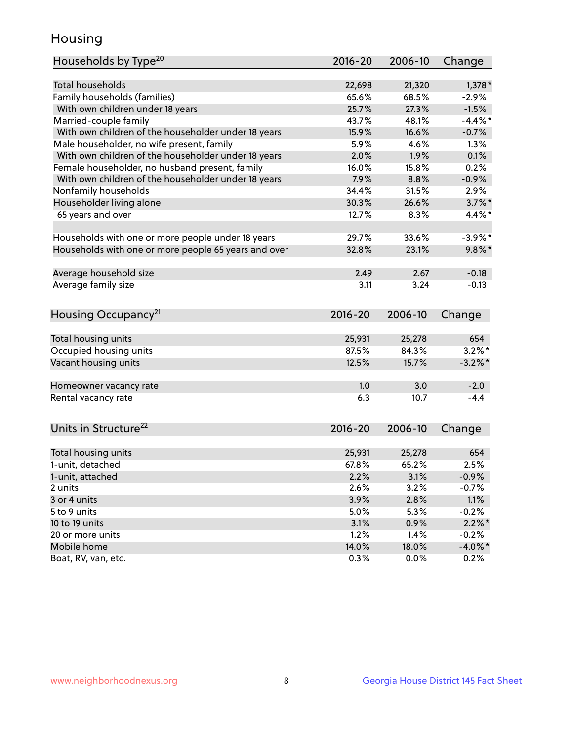## Housing

| Households by Type <sup>20</sup>                     | 2016-20     | 2006-10 | Change     |
|------------------------------------------------------|-------------|---------|------------|
|                                                      |             |         |            |
| <b>Total households</b>                              | 22,698      | 21,320  | $1,378*$   |
| Family households (families)                         | 65.6%       | 68.5%   | $-2.9%$    |
| With own children under 18 years                     | 25.7%       | 27.3%   | $-1.5%$    |
| Married-couple family                                | 43.7%       | 48.1%   | $-4.4\%$ * |
| With own children of the householder under 18 years  | 15.9%       | 16.6%   | $-0.7%$    |
| Male householder, no wife present, family            | 5.9%        | 4.6%    | 1.3%       |
| With own children of the householder under 18 years  | 2.0%        | 1.9%    | 0.1%       |
| Female householder, no husband present, family       | 16.0%       | 15.8%   | 0.2%       |
| With own children of the householder under 18 years  | 7.9%        | 8.8%    | $-0.9%$    |
| Nonfamily households                                 | 34.4%       | 31.5%   | 2.9%       |
| Householder living alone                             | 30.3%       | 26.6%   | $3.7\%$ *  |
| 65 years and over                                    | 12.7%       | 8.3%    | $4.4\%$ *  |
|                                                      |             |         |            |
| Households with one or more people under 18 years    | 29.7%       | 33.6%   | $-3.9\%$ * |
| Households with one or more people 65 years and over | 32.8%       | 23.1%   | $9.8\%$ *  |
|                                                      |             |         |            |
| Average household size                               | 2.49        | 2.67    | $-0.18$    |
| Average family size                                  | 3.11        | 3.24    | $-0.13$    |
|                                                      |             |         |            |
| Housing Occupancy <sup>21</sup>                      | 2016-20     | 2006-10 | Change     |
|                                                      |             |         |            |
| Total housing units                                  | 25,931      | 25,278  | 654        |
| Occupied housing units                               | 87.5%       | 84.3%   | $3.2\%$ *  |
| Vacant housing units                                 | 12.5%       | 15.7%   | $-3.2\%$ * |
|                                                      |             |         |            |
| Homeowner vacancy rate                               | 1.0         | 3.0     | $-2.0$     |
| Rental vacancy rate                                  | 6.3         | 10.7    | $-4.4$     |
|                                                      |             |         |            |
| Units in Structure <sup>22</sup>                     | $2016 - 20$ | 2006-10 | Change     |
|                                                      |             |         |            |
| Total housing units                                  | 25,931      | 25,278  | 654        |
| 1-unit, detached                                     | 67.8%       | 65.2%   | 2.5%       |
| 1-unit, attached                                     | 2.2%        | 3.1%    | $-0.9%$    |
| 2 units                                              | 2.6%        | 3.2%    | $-0.7%$    |
| 3 or 4 units                                         | 3.9%        | 2.8%    | 1.1%       |
| 5 to 9 units                                         | 5.0%        | 5.3%    | $-0.2%$    |
| 10 to 19 units                                       | 3.1%        | 0.9%    | $2.2\%$ *  |
| 20 or more units                                     | 1.2%        | 1.4%    | $-0.2%$    |
| Mobile home                                          | 14.0%       | 18.0%   | $-4.0\%$ * |
| Boat, RV, van, etc.                                  | 0.3%        | 0.0%    | 0.2%       |
|                                                      |             |         |            |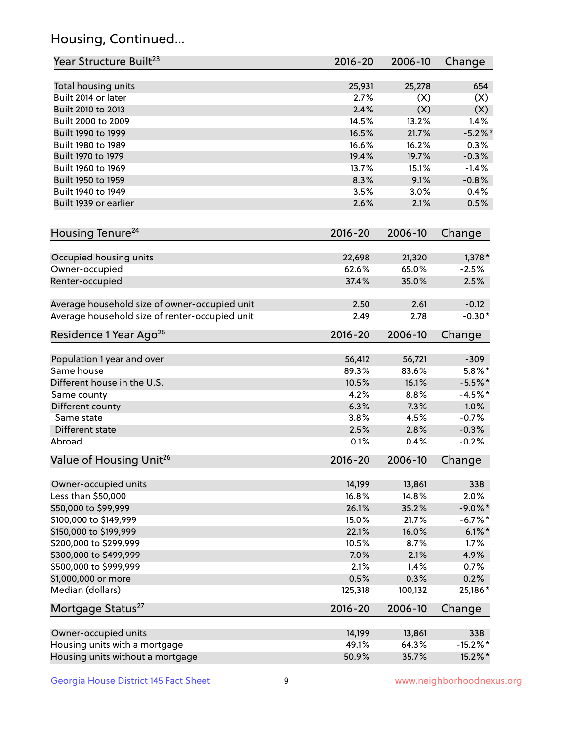## Housing, Continued...

| Year Structure Built <sup>23</sup>             | 2016-20     | 2006-10 | Change      |
|------------------------------------------------|-------------|---------|-------------|
| Total housing units                            | 25,931      | 25,278  | 654         |
| Built 2014 or later                            | 2.7%        | (X)     | (X)         |
| Built 2010 to 2013                             | 2.4%        | (X)     | (X)         |
| Built 2000 to 2009                             | 14.5%       | 13.2%   | 1.4%        |
| Built 1990 to 1999                             | 16.5%       | 21.7%   | $-5.2%$     |
| Built 1980 to 1989                             | 16.6%       | 16.2%   | 0.3%        |
| Built 1970 to 1979                             | 19.4%       | 19.7%   | $-0.3%$     |
| Built 1960 to 1969                             | 13.7%       | 15.1%   | $-1.4%$     |
| Built 1950 to 1959                             | 8.3%        | 9.1%    | $-0.8%$     |
| Built 1940 to 1949                             | 3.5%        | 3.0%    | 0.4%        |
| Built 1939 or earlier                          | 2.6%        | 2.1%    | 0.5%        |
|                                                |             |         |             |
| Housing Tenure <sup>24</sup>                   | $2016 - 20$ | 2006-10 | Change      |
| Occupied housing units                         | 22,698      | 21,320  | $1,378*$    |
| Owner-occupied                                 | 62.6%       | 65.0%   | $-2.5%$     |
| Renter-occupied                                | 37.4%       | 35.0%   | 2.5%        |
|                                                |             |         |             |
| Average household size of owner-occupied unit  | 2.50        | 2.61    | $-0.12$     |
| Average household size of renter-occupied unit | 2.49        | 2.78    | $-0.30*$    |
| Residence 1 Year Ago <sup>25</sup>             | $2016 - 20$ | 2006-10 | Change      |
| Population 1 year and over                     | 56,412      | 56,721  | $-309$      |
| Same house                                     | 89.3%       | 83.6%   | $5.8\%$ *   |
| Different house in the U.S.                    | 10.5%       | 16.1%   | $-5.5%$ *   |
| Same county                                    | 4.2%        | 8.8%    | $-4.5%$ *   |
| Different county                               | 6.3%        | 7.3%    | $-1.0%$     |
| Same state                                     | 3.8%        | 4.5%    | $-0.7%$     |
| Different state                                | 2.5%        | 2.8%    | $-0.3%$     |
| Abroad                                         | 0.1%        | 0.4%    | $-0.2%$     |
| Value of Housing Unit <sup>26</sup>            | $2016 - 20$ | 2006-10 | Change      |
|                                                |             |         |             |
| Owner-occupied units                           | 14,199      | 13,861  | 338         |
| Less than \$50,000                             | 16.8%       | 14.8%   | 2.0%        |
| \$50,000 to \$99,999                           | 26.1%       | 35.2%   | $-9.0\%$ *  |
| \$100,000 to \$149,999                         | 15.0%       | 21.7%   | $-6.7\%$ *  |
| \$150,000 to \$199,999                         | 22.1%       | 16.0%   | $6.1\%$ *   |
| \$200,000 to \$299,999                         | 10.5%       | 8.7%    | 1.7%        |
| \$300,000 to \$499,999                         | 7.0%        | 2.1%    | 4.9%        |
| \$500,000 to \$999,999                         | 2.1%        | 1.4%    | 0.7%        |
| \$1,000,000 or more                            | 0.5%        | 0.3%    | 0.2%        |
| Median (dollars)                               | 125,318     | 100,132 | 25,186*     |
| Mortgage Status <sup>27</sup>                  | $2016 - 20$ | 2006-10 | Change      |
| Owner-occupied units                           | 14,199      | 13,861  | 338         |
| Housing units with a mortgage                  | 49.1%       | 64.3%   | $-15.2\%$ * |
| Housing units without a mortgage               | 50.9%       | 35.7%   | 15.2%*      |
|                                                |             |         |             |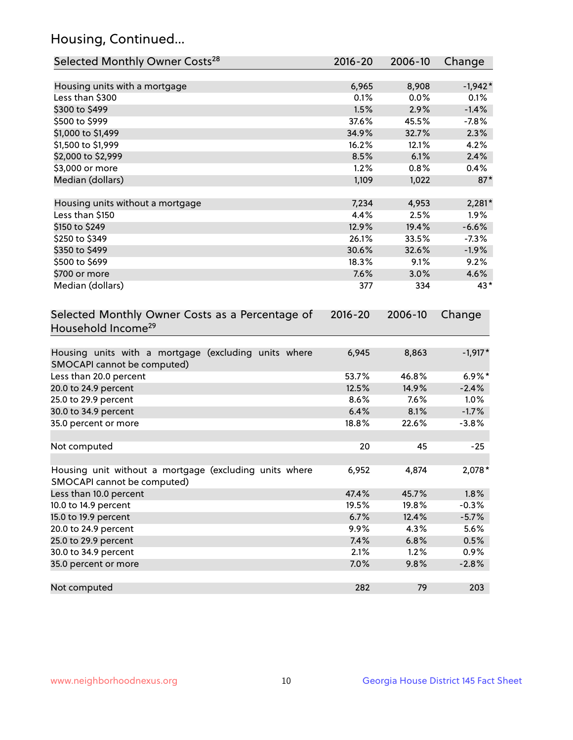## Housing, Continued...

| Selected Monthly Owner Costs <sup>28</sup>                                            | 2016-20 | 2006-10 | Change    |
|---------------------------------------------------------------------------------------|---------|---------|-----------|
| Housing units with a mortgage                                                         | 6,965   | 8,908   | $-1,942*$ |
| Less than \$300                                                                       | 0.1%    | 0.0%    | 0.1%      |
| \$300 to \$499                                                                        | 1.5%    | 2.9%    | $-1.4%$   |
| \$500 to \$999                                                                        | 37.6%   | 45.5%   | $-7.8%$   |
| \$1,000 to \$1,499                                                                    | 34.9%   | 32.7%   | 2.3%      |
| \$1,500 to \$1,999                                                                    | 16.2%   | 12.1%   | 4.2%      |
| \$2,000 to \$2,999                                                                    | 8.5%    | 6.1%    | 2.4%      |
| \$3,000 or more                                                                       | 1.2%    | 0.8%    | 0.4%      |
| Median (dollars)                                                                      | 1,109   | 1,022   | $87*$     |
| Housing units without a mortgage                                                      | 7,234   | 4,953   | $2,281*$  |
| Less than \$150                                                                       | 4.4%    | 2.5%    | 1.9%      |
| \$150 to \$249                                                                        | 12.9%   | 19.4%   | $-6.6%$   |
| \$250 to \$349                                                                        | 26.1%   | 33.5%   | $-7.3%$   |
| \$350 to \$499                                                                        | 30.6%   | 32.6%   | $-1.9%$   |
| \$500 to \$699                                                                        | 18.3%   | 9.1%    | 9.2%      |
| \$700 or more                                                                         | 7.6%    | 3.0%    | 4.6%      |
| Median (dollars)                                                                      | 377     | 334     | 43*       |
| Selected Monthly Owner Costs as a Percentage of<br>Household Income <sup>29</sup>     |         |         | Change    |
| Housing units with a mortgage (excluding units where<br>SMOCAPI cannot be computed)   | 6,945   | 8,863   | $-1,917*$ |
| Less than 20.0 percent                                                                | 53.7%   | 46.8%   | $6.9\%*$  |
| 20.0 to 24.9 percent                                                                  | 12.5%   | 14.9%   | $-2.4%$   |
| 25.0 to 29.9 percent                                                                  | 8.6%    | 7.6%    | 1.0%      |
| 30.0 to 34.9 percent                                                                  | 6.4%    | 8.1%    | $-1.7%$   |
| 35.0 percent or more                                                                  | 18.8%   | 22.6%   | $-3.8%$   |
| Not computed                                                                          | 20      | 45      | $-25$     |
| Housing unit without a mortgage (excluding units where<br>SMOCAPI cannot be computed) | 6,952   | 4,874   | $2,078*$  |
| Less than 10.0 percent                                                                | 47.4%   | 45.7%   | 1.8%      |
| 10.0 to 14.9 percent                                                                  | 19.5%   | 19.8%   | $-0.3%$   |
| 15.0 to 19.9 percent                                                                  | 6.7%    | 12.4%   | $-5.7%$   |
| 20.0 to 24.9 percent                                                                  | 9.9%    | 4.3%    | 5.6%      |
| 25.0 to 29.9 percent                                                                  | 7.4%    | 6.8%    | 0.5%      |
| 30.0 to 34.9 percent                                                                  | 2.1%    | 1.2%    | 0.9%      |
| 35.0 percent or more                                                                  | 7.0%    | 9.8%    | $-2.8%$   |
| Not computed                                                                          | 282     | 79      | 203       |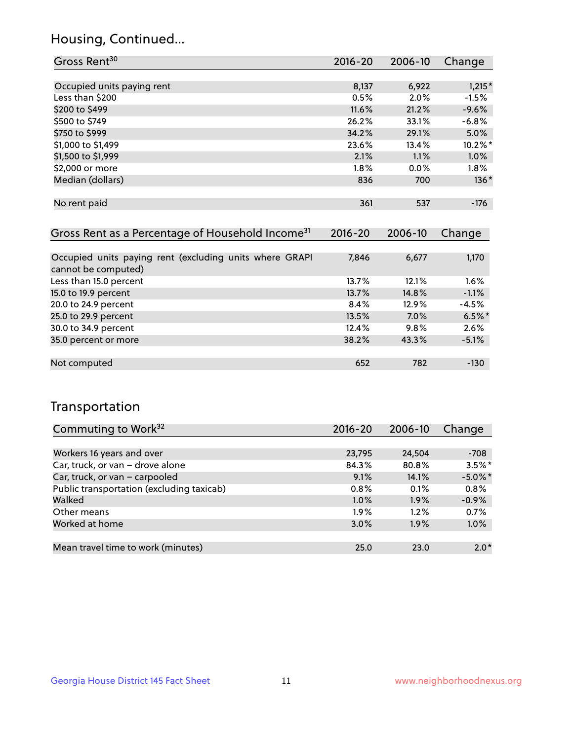## Housing, Continued...

| Gross Rent <sup>30</sup>   | 2016-20 | 2006-10 | Change   |
|----------------------------|---------|---------|----------|
|                            |         |         |          |
| Occupied units paying rent | 8,137   | 6,922   | $1,215*$ |
| Less than \$200            | 0.5%    | 2.0%    | $-1.5%$  |
| \$200 to \$499             | 11.6%   | 21.2%   | $-9.6%$  |
| \$500 to \$749             | 26.2%   | 33.1%   | $-6.8%$  |
| \$750 to \$999             | 34.2%   | 29.1%   | 5.0%     |
| \$1,000 to \$1,499         | 23.6%   | 13.4%   | 10.2%*   |
| \$1,500 to \$1,999         | 2.1%    | 1.1%    | 1.0%     |
| \$2,000 or more            | $1.8\%$ | 0.0%    | $1.8\%$  |
| Median (dollars)           | 836     | 700     | $136*$   |
|                            |         |         |          |
| No rent paid               | 361     | 537     | $-176$   |
|                            |         |         |          |

| Gross Rent as a Percentage of Household Income <sup>31</sup>                   | $2016 - 20$ | 2006-10 | Change   |
|--------------------------------------------------------------------------------|-------------|---------|----------|
|                                                                                |             |         |          |
| Occupied units paying rent (excluding units where GRAPI<br>cannot be computed) | 7,846       | 6,677   | 1,170    |
| Less than 15.0 percent                                                         | 13.7%       | 12.1%   | 1.6%     |
| 15.0 to 19.9 percent                                                           | 13.7%       | 14.8%   | $-1.1%$  |
| 20.0 to 24.9 percent                                                           | 8.4%        | 12.9%   | $-4.5%$  |
| 25.0 to 29.9 percent                                                           | 13.5%       | 7.0%    | $6.5%$ * |
| 30.0 to 34.9 percent                                                           | 12.4%       | 9.8%    | 2.6%     |
| 35.0 percent or more                                                           | 38.2%       | 43.3%   | $-5.1%$  |
|                                                                                |             |         |          |
| Not computed                                                                   | 652         | 782     | $-130$   |

## Transportation

| Commuting to Work <sup>32</sup>           | $2016 - 20$ | 2006-10 | Change     |
|-------------------------------------------|-------------|---------|------------|
|                                           |             |         |            |
| Workers 16 years and over                 | 23,795      | 24,504  | $-708$     |
| Car, truck, or van - drove alone          | 84.3%       | 80.8%   | $3.5\%$ *  |
| Car, truck, or van - carpooled            | 9.1%        | 14.1%   | $-5.0\%$ * |
| Public transportation (excluding taxicab) | $0.8\%$     | 0.1%    | 0.8%       |
| Walked                                    | 1.0%        | 1.9%    | $-0.9%$    |
| Other means                               | $1.9\%$     | 1.2%    | 0.7%       |
| Worked at home                            | 3.0%        | 1.9%    | 1.0%       |
|                                           |             |         |            |
| Mean travel time to work (minutes)        | 25.0        | 23.0    | $2.0*$     |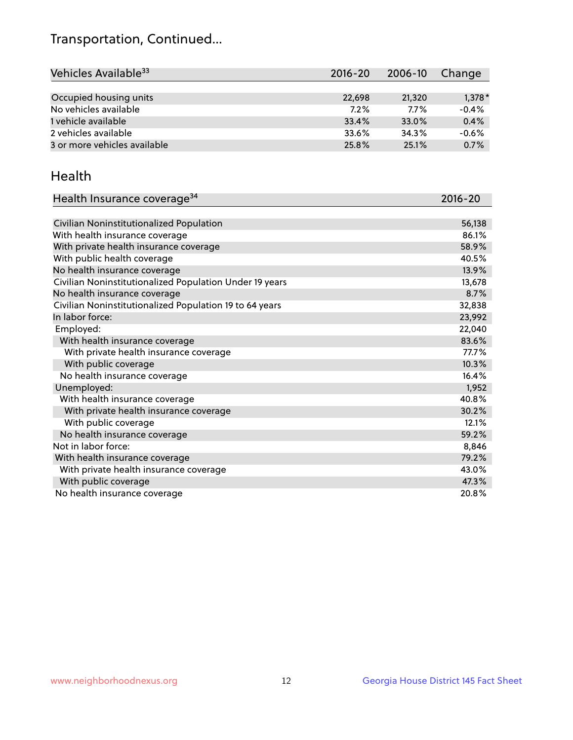## Transportation, Continued...

| Vehicles Available <sup>33</sup> | $2016 - 20$ | 2006-10 | Change   |
|----------------------------------|-------------|---------|----------|
|                                  |             |         |          |
| Occupied housing units           | 22,698      | 21,320  | $1,378*$ |
| No vehicles available            | 7.2%        | 7.7%    | $-0.4%$  |
| 1 vehicle available              | 33.4%       | 33.0%   | 0.4%     |
| 2 vehicles available             | 33.6%       | 34.3%   | $-0.6%$  |
| 3 or more vehicles available     | 25.8%       | 25.1%   | 0.7%     |

#### Health

| Health Insurance coverage <sup>34</sup>                 | 2016-20 |
|---------------------------------------------------------|---------|
|                                                         |         |
| Civilian Noninstitutionalized Population                | 56,138  |
| With health insurance coverage                          | 86.1%   |
| With private health insurance coverage                  | 58.9%   |
| With public health coverage                             | 40.5%   |
| No health insurance coverage                            | 13.9%   |
| Civilian Noninstitutionalized Population Under 19 years | 13,678  |
| No health insurance coverage                            | 8.7%    |
| Civilian Noninstitutionalized Population 19 to 64 years | 32,838  |
| In labor force:                                         | 23,992  |
| Employed:                                               | 22,040  |
| With health insurance coverage                          | 83.6%   |
| With private health insurance coverage                  | 77.7%   |
| With public coverage                                    | 10.3%   |
| No health insurance coverage                            | 16.4%   |
| Unemployed:                                             | 1,952   |
| With health insurance coverage                          | 40.8%   |
| With private health insurance coverage                  | 30.2%   |
| With public coverage                                    | 12.1%   |
| No health insurance coverage                            | 59.2%   |
| Not in labor force:                                     | 8,846   |
| With health insurance coverage                          | 79.2%   |
| With private health insurance coverage                  | 43.0%   |
| With public coverage                                    | 47.3%   |
| No health insurance coverage                            | 20.8%   |